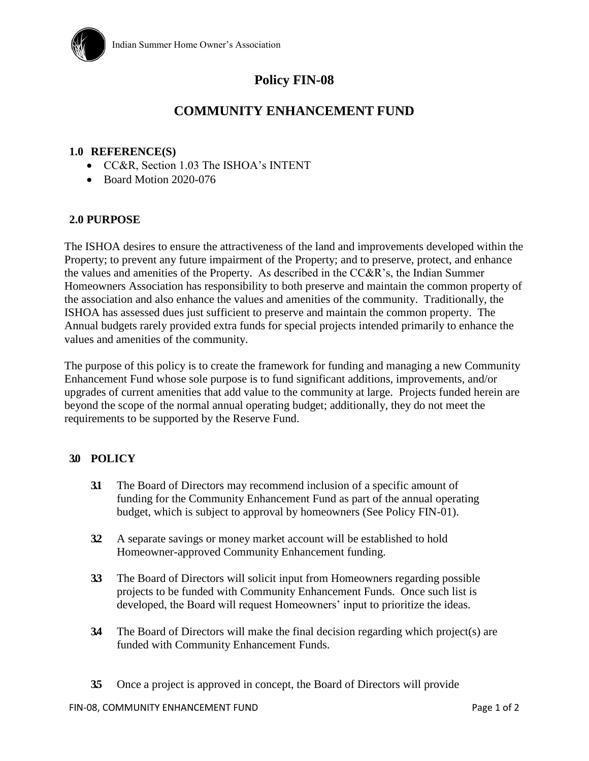

# **Policy FIN-08**

## **COMMUNITY ENHANCEMENT FUND**

#### **1.0 REFERENCE(S)**

- CC&R, Section 1.03 The ISHOA's INTENT
- Board Motion 2020-076

#### **2.0 PURPOSE**

The ISHOA desires to ensure the attractiveness of the land and improvements developed within the Property; to prevent any future impairment of the Property; and to preserve, protect, and enhance the values and amenities of the Property. As described in the CC&R's, the Indian Summer Homeowners Association has responsibility to both preserve and maintain the common property of the association and also enhance the values and amenities of the community. Traditionally, the ISHOA has assessed dues just sufficient to preserve and maintain the common property. The Annual budgets rarely provided extra funds for special projects intended primarily to enhance the values and amenities of the community.

The purpose of this policy is to create the framework for funding and managing a new Community Enhancement Fund whose sole purpose is to fund significant additions, improvements, and/or upgrades of current amenities that add value to the community at large. Projects funded herein are beyond the scope of the normal annual operating budget; additionally, they do not meet the requirements to be supported by the Reserve Fund.

#### **3.0 POLICY**

- **3.1** The Board of Directors may recommend inclusion of a specific amount of funding for the Community Enhancement Fund as part of the annual operating budget, which is subject to approval by homeowners (See Policy FIN-01).
- **3.2** A separate savings or money market account will be established to hold Homeowner-approved Community Enhancement funding.
- **3.3** The Board of Directors will solicit input from Homeowners regarding possible projects to be funded with Community Enhancement Funds. Once such list is developed, the Board will request Homeowners' input to prioritize the ideas.
- **3.4** The Board of Directors will make the final decision regarding which project(s) are funded with Community Enhancement Funds.
- **3.5** Once a project is approved in concept, the Board of Directors will provide